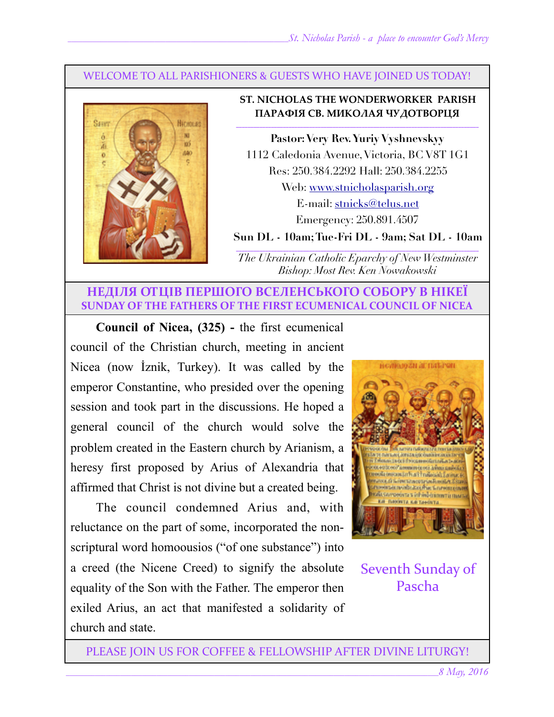# WELCOME TO ALL PARISHIONERS & GUESTS WHO HAVE JOINED US TODAY!



### **ST. NICHOLAS THE WONDERWORKER PARISH ПАРАФІЯ СВ. МИКОЛАЯ ЧУДОТВОРЦЯ**

**\_\_\_\_\_\_\_\_\_\_\_\_\_\_\_\_\_\_\_\_\_\_\_\_\_\_\_\_\_\_\_\_\_\_\_\_\_\_\_\_\_\_\_\_\_\_\_\_\_\_\_\_\_\_\_\_\_\_\_\_\_\_\_\_\_\_\_\_\_\_\_\_\_\_\_\_\_\_\_\_\_\_\_**

**Pastor: Very Rev. Yuriy Vyshnevskyy**  1112 Caledonia Avenue, Victoria, BC V8T 1G1 Res: 250.384.2292 Hall: 250.384.2255 Web: [www.stnicholasparish.org](http://www.stnicholasparish.org)  E-mail: [stnicks@telus.net](mailto:stnicks@telus.net) Emergency: 250.891.4507

**Sun DL - 10am; Tue-Fri DL - 9am; Sat DL - 10am** 

**\_\_\_\_\_\_\_\_\_\_\_\_\_\_\_\_\_\_\_\_\_\_\_\_\_\_\_\_\_\_\_\_\_\_\_\_\_\_\_\_\_\_\_\_\_\_\_\_\_\_\_\_\_\_\_\_\_\_\_\_\_\_\_\_\_\_\_\_\_\_\_\_\_\_\_\_\_\_\_\_\_\_\_** *The Ukrainian Catholic Eparchy of New Westminster Bishop: Most Rev. Ken Nowakowski*

# НЕДІЛЯ ОТЦІВ ПЕРШОГО ВСЕЛЕНСЬКОГО СОБОРУ В НІКЕІ **SUNDAY OF THE FATHERS OF THE FIRST ECUMENICAL COUNCIL OF NICEA**

**Council of Nicea, (325) -** the first ecumenical [council of the Christian church, meeting in ancient](http://www.britannica.com/topic/ecumenical-council) Nicea (now İznik, Turkey). It was called by the emperor Constantine, who presided over the opening session and took part in the discussions. He hoped a general council of the church would solve the problem created in the Eastern church by Arianism, a heresy first proposed by [Arius](http://www.britannica.com/biography/Arius) of [Alexandria](http://www.britannica.com/place/Alexandria-Egypt) that affirmed that Christ is not divine but a created being.

The council condemned [Arius](http://www.britannica.com/biography/Arius) and, with reluctance on the part of some, incorporated the nonscriptural word [homoousios](http://www.britannica.com/topic/homoousios) ("of one substance") into a creed (the Nicene Creed) to signify the absolute equality of the Son with the Father. The emperor then exiled Arius, an act that manifested a solidarity of church and state.



# Seventh Sunday of Pascha

PLEASE JOIN US FOR COFFEE & FELLOWSHIP AFTER DIVINE LITURGY!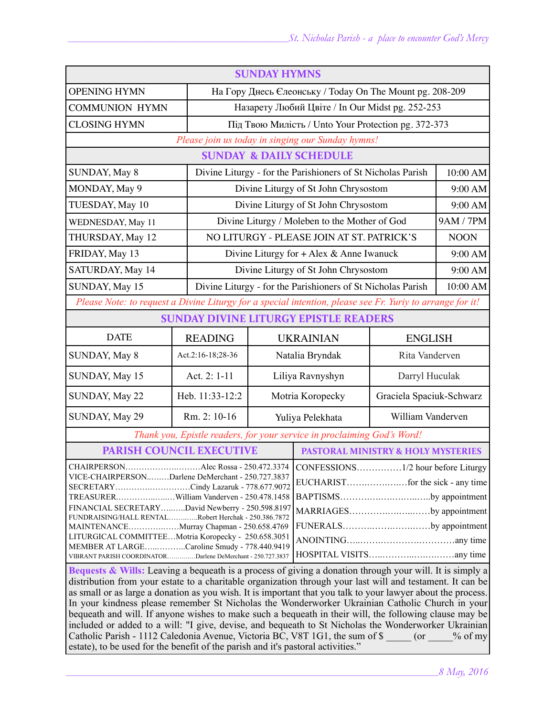| <b>SUNDAY HYMNS</b>                                                                                                                                                                                                        |                                                                                                                                                                                                                |                                                             |                                                             |                                    |                          |             |  |
|----------------------------------------------------------------------------------------------------------------------------------------------------------------------------------------------------------------------------|----------------------------------------------------------------------------------------------------------------------------------------------------------------------------------------------------------------|-------------------------------------------------------------|-------------------------------------------------------------|------------------------------------|--------------------------|-------------|--|
| <b>OPENING HYMN</b>                                                                                                                                                                                                        |                                                                                                                                                                                                                |                                                             | На Гору Днесь Єлеонську / Today On The Mount pg. 208-209    |                                    |                          |             |  |
| <b>COMMUNION HYMN</b>                                                                                                                                                                                                      |                                                                                                                                                                                                                | Назарету Любий Цвіте / In Our Midst pg. 252-253             |                                                             |                                    |                          |             |  |
| <b>CLOSING HYMN</b>                                                                                                                                                                                                        |                                                                                                                                                                                                                |                                                             | Під Твою Милість / Unto Your Protection pg. 372-373         |                                    |                          |             |  |
| Please join us today in singing our Sunday hymns!                                                                                                                                                                          |                                                                                                                                                                                                                |                                                             |                                                             |                                    |                          |             |  |
| <b>SUNDAY &amp; DAILY SCHEDULE</b>                                                                                                                                                                                         |                                                                                                                                                                                                                |                                                             |                                                             |                                    |                          |             |  |
| SUNDAY, May 8                                                                                                                                                                                                              |                                                                                                                                                                                                                | Divine Liturgy - for the Parishioners of St Nicholas Parish |                                                             |                                    |                          | 10:00 AM    |  |
| MONDAY, May 9                                                                                                                                                                                                              |                                                                                                                                                                                                                | Divine Liturgy of St John Chrysostom                        |                                                             |                                    |                          | 9:00 AM     |  |
| TUESDAY, May 10                                                                                                                                                                                                            |                                                                                                                                                                                                                | Divine Liturgy of St John Chrysostom                        |                                                             |                                    |                          | 9:00 AM     |  |
| WEDNESDAY, May 11                                                                                                                                                                                                          |                                                                                                                                                                                                                | Divine Liturgy / Moleben to the Mother of God               |                                                             |                                    |                          | 9AM / 7PM   |  |
| THURSDAY, May 12                                                                                                                                                                                                           |                                                                                                                                                                                                                | NO LITURGY - PLEASE JOIN AT ST. PATRICK'S                   |                                                             |                                    |                          | <b>NOON</b> |  |
| FRIDAY, May 13                                                                                                                                                                                                             |                                                                                                                                                                                                                | Divine Liturgy for $+$ Alex & Anne Iwanuck                  |                                                             |                                    |                          | 9:00 AM     |  |
| SATURDAY, May 14                                                                                                                                                                                                           |                                                                                                                                                                                                                | Divine Liturgy of St John Chrysostom                        |                                                             |                                    | 9:00 AM                  |             |  |
| SUNDAY, May 15                                                                                                                                                                                                             |                                                                                                                                                                                                                |                                                             | Divine Liturgy - for the Parishioners of St Nicholas Parish |                                    | 10:00 AM                 |             |  |
| Please Note: to request a Divine Liturgy for a special intention, please see Fr. Yuriy to arrange for it!                                                                                                                  |                                                                                                                                                                                                                |                                                             |                                                             |                                    |                          |             |  |
| <b>SUNDAY DIVINE LITURGY EPISTLE READERS</b>                                                                                                                                                                               |                                                                                                                                                                                                                |                                                             |                                                             |                                    |                          |             |  |
| <b>DATE</b>                                                                                                                                                                                                                | <b>READING</b>                                                                                                                                                                                                 |                                                             | <b>UKRAINIAN</b>                                            |                                    | <b>ENGLISH</b>           |             |  |
| SUNDAY, May 8                                                                                                                                                                                                              | Act.2:16-18;28-36                                                                                                                                                                                              |                                                             |                                                             | Natalia Bryndak                    | Rita Vanderven           |             |  |
| SUNDAY, May 15                                                                                                                                                                                                             | Act. 2: 1-11                                                                                                                                                                                                   |                                                             | Liliya Ravnyshyn                                            |                                    | Darryl Huculak           |             |  |
| SUNDAY, May 22                                                                                                                                                                                                             | Heb. 11:33-12:2                                                                                                                                                                                                |                                                             | Motria Koropecky                                            |                                    | Graciela Spaciuk-Schwarz |             |  |
| SUNDAY, May 29                                                                                                                                                                                                             |                                                                                                                                                                                                                | Rm. 2: 10-16                                                | Yuliya Pelekhata                                            |                                    | William Vanderven        |             |  |
| Thank you, Epistle readers, for your service in proclaiming God's Word!                                                                                                                                                    |                                                                                                                                                                                                                |                                                             |                                                             |                                    |                          |             |  |
| <b>PARISH COUNCIL EXECUTIVE</b>                                                                                                                                                                                            |                                                                                                                                                                                                                |                                                             |                                                             | PASTORAL MINISTRY & HOLY MYSTERIES |                          |             |  |
| VICE-CHAIRPERSONDarlene DeMerchant - 250.727.3837                                                                                                                                                                          |                                                                                                                                                                                                                |                                                             |                                                             |                                    |                          |             |  |
| SECRETARYCindy Lazaruk - 778.677.9072<br>TREASURERWilliam Vanderven - 250.478.1458                                                                                                                                         |                                                                                                                                                                                                                |                                                             |                                                             |                                    | BAPTISMSby appointment   |             |  |
| FINANCIAL SECRETARYDavid Newberry - 250.598.8197<br>MARRIAGESby appointment                                                                                                                                                |                                                                                                                                                                                                                |                                                             |                                                             |                                    |                          |             |  |
| FUNDRAISING/HALL RENTALRobert Herchak - 250.386.7872<br>FUNERALSby appointment<br>MAINTENANCEMurray Chapman - 250.658.4769                                                                                                 |                                                                                                                                                                                                                |                                                             |                                                             |                                    |                          |             |  |
| LITURGICAL COMMITTEEMotria Koropecky - 250.658.3051<br>MEMBER AT LARGECaroline Smudy - 778.440.9419                                                                                                                        |                                                                                                                                                                                                                |                                                             |                                                             |                                    |                          |             |  |
| VIBRANT PARISH COORDINATORDarlene DeMerchant - 250.727.3837                                                                                                                                                                |                                                                                                                                                                                                                |                                                             |                                                             |                                    |                          |             |  |
| Bequests & Wills: Leaving a bequeath is a process of giving a donation through your will. It is simply a                                                                                                                   |                                                                                                                                                                                                                |                                                             |                                                             |                                    |                          |             |  |
| distribution from your estate to a charitable organization through your last will and testament. It can be<br>as small or as large a donation as you wish. It is important that you talk to your lawyer about the process. |                                                                                                                                                                                                                |                                                             |                                                             |                                    |                          |             |  |
|                                                                                                                                                                                                                            | In your kindness please remember St Nicholas the Wonderworker Ukrainian Catholic Church in your                                                                                                                |                                                             |                                                             |                                    |                          |             |  |
|                                                                                                                                                                                                                            | bequeath and will. If anyone wishes to make such a bequeath in their will, the following clause may be<br>included or added to a will: "I give, devise, and bequeath to St Nicholas the Wonderworker Ukrainian |                                                             |                                                             |                                    |                          |             |  |

Catholic Parish - 1112 Caledonia Avenue, Victoria BC, V8T 1G1, the sum of \$  $\qquad \qquad$  (or  $\qquad \qquad$  % of my

estate), to be used for the benefit of the parish and it's pastoral activities."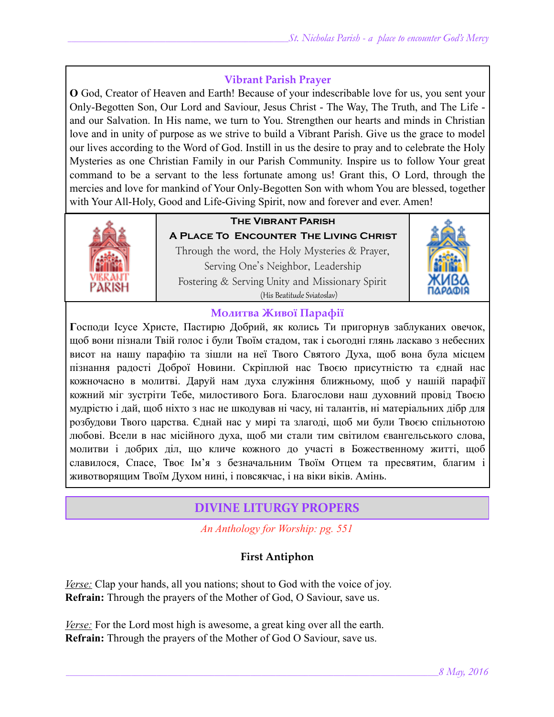# **Vibrant Parish Prayer**

**O** God, Creator of Heaven and Earth! Because of your indescribable love for us, you sent your Only-Begotten Son, Our Lord and Saviour, Jesus Christ - The Way, The Truth, and The Life and our Salvation. In His name, we turn to You. Strengthen our hearts and minds in Christian love and in unity of purpose as we strive to build a Vibrant Parish. Give us the grace to model our lives according to the Word of God. Instill in us the desire to pray and to celebrate the Holy Mysteries as one Christian Family in our Parish Community. Inspire us to follow Your great command to be a servant to the less fortunate among us! Grant this, O Lord, through the mercies and love for mankind of Your Only-Begotten Son with whom You are blessed, together with Your All-Holy, Good and Life-Giving Spirit, now and forever and ever. Amen!



# **The Vibrant Parish**

**A Place To Encounter The Living Christ** Through the word, the Holy Mysteries & Prayer, Serving One's Neighbor, Leadership Fostering & Serving Unity and Missionary Spirit (His Beatitude Sviatoslav)



# **Молитва Живої Парафії**

**Г**осподи Ісусе Христе, Пастирю Добрий, як колись Ти пригорнув заблуканих овечок, щоб вони пізнали Твій голос і були Твоїм стадом, так і сьогодні глянь ласкаво з небесних висот на нашу парафію та зішли на неї Твого Святого Духа, щоб вона була місцем пізнання радості Доброї Новини. Скріплюй нас Твоєю присутністю та єднай нас кожночасно в молитві. Даруй нам духа служіння ближньому, щоб у нашій парафії кожний міг зустріти Тебе, милостивого Бога. Благослови наш духовний провід Твоєю мудрістю і дай, щоб ніхто з нас не шкодував ні часу, ні талантів, ні матеріальних дібр для розбудови Твого царства. Єднай нас у мирі та злагоді, щоб ми були Твоєю спільнотою любові. Всели в нас місійного духа, щоб ми стали тим світилом євангельського слова, молитви і добрих діл, що кличе кожного до участі в Божественному житті, щоб славилося, Спасе, Твоє Ім'я з безначальним Твоїм Отцем та пресвятим, благим і животворящим Твоїм Духом нині, і повсякчас, і на віки віків. Амінь.

# **DIVINE LITURGY PROPERS**

*An Anthology for Worship: pg. 551* 

# **First Antiphon**

*Verse:* Clap your hands, all you nations; shout to God with the voice of joy. **Refrain:** Through the prayers of the Mother of God, O Saviour, save us.

*Verse:* For the Lord most high is awesome, a great king over all the earth. **Refrain:** Through the prayers of the Mother of God O Saviour, save us.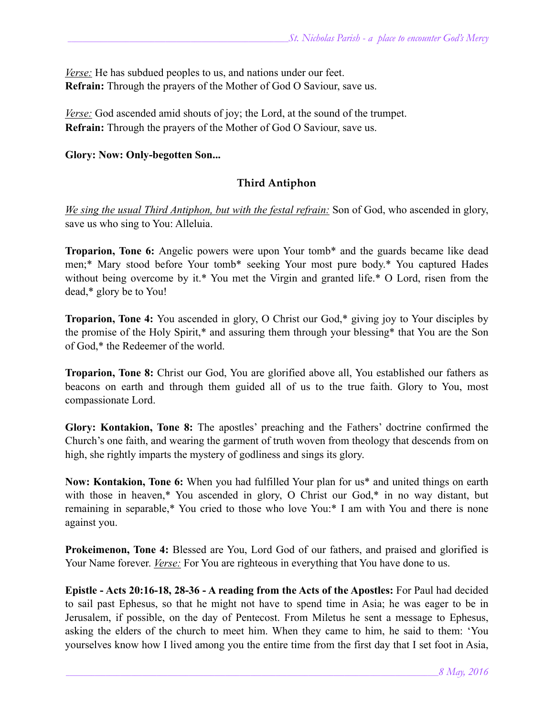*Verse:* He has subdued peoples to us, and nations under our feet. **Refrain:** Through the prayers of the Mother of God O Saviour, save us.

*Verse:* God ascended amid shouts of joy; the Lord, at the sound of the trumpet. **Refrain:** Through the prayers of the Mother of God O Saviour, save us.

#### **Glory: Now: Only-begotten Son...**

# **Third Antiphon**

*We sing the usual Third Antiphon, but with the festal refrain:* Son of God, who ascended in glory, save us who sing to You: Alleluia.

**Troparion, Tone 6:** Angelic powers were upon Your tomb\* and the guards became like dead men;\* Mary stood before Your tomb\* seeking Your most pure body.\* You captured Hades without being overcome by it.\* You met the Virgin and granted life.\* O Lord, risen from the dead,\* glory be to You!

**Troparion, Tone 4:** You ascended in glory, O Christ our God,\* giving joy to Your disciples by the promise of the Holy Spirit,\* and assuring them through your blessing\* that You are the Son of God,\* the Redeemer of the world.

**Troparion, Tone 8:** Christ our God, You are glorified above all, You established our fathers as beacons on earth and through them guided all of us to the true faith. Glory to You, most compassionate Lord.

**Glory: Kontakion, Tone 8:** The apostles' preaching and the Fathers' doctrine confirmed the Church's one faith, and wearing the garment of truth woven from theology that descends from on high, she rightly imparts the mystery of godliness and sings its glory.

**Now: Kontakion, Tone 6:** When you had fulfilled Your plan for us\* and united things on earth with those in heaven,\* You ascended in glory, O Christ our God,\* in no way distant, but remaining in separable,\* You cried to those who love You:\* I am with You and there is none against you.

**Prokeimenon, Tone 4:** Blessed are You, Lord God of our fathers, and praised and glorified is Your Name forever. *Verse:* For You are righteous in everything that You have done to us.

**Epistle - Acts 20:16-18, 28-36 - A reading from the Acts of the Apostles:** For Paul had decided to sail past Ephesus, so that he might not have to spend time in Asia; he was eager to be in Jerusalem, if possible, on the day of Pentecost. From Miletus he sent a message to Ephesus, asking the elders of the church to meet him. When they came to him, he said to them: 'You yourselves know how I lived among you the entire time from the first day that I set foot in Asia,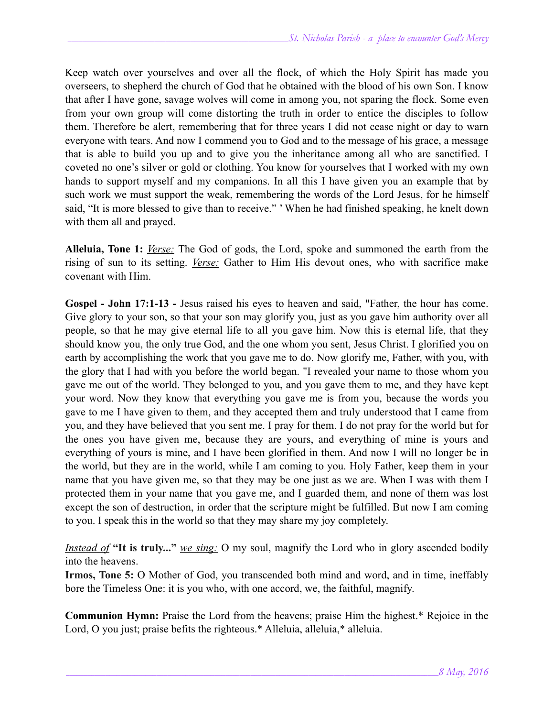Keep watch over yourselves and over all the flock, of which the Holy Spirit has made you overseers, to shepherd the church of God that he obtained with the blood of his own Son. I know that after I have gone, savage wolves will come in among you, not sparing the flock. Some even from your own group will come distorting the truth in order to entice the disciples to follow them. Therefore be alert, remembering that for three years I did not cease night or day to warn everyone with tears. And now I commend you to God and to the message of his grace, a message that is able to build you up and to give you the inheritance among all who are sanctified. I coveted no one's silver or gold or clothing. You know for yourselves that I worked with my own hands to support myself and my companions. In all this I have given you an example that by such work we must support the weak, remembering the words of the Lord Jesus, for he himself said, "It is more blessed to give than to receive." ' When he had finished speaking, he knelt down with them all and prayed.

**Alleluia, Tone 1:** *Verse:* The God of gods, the Lord, spoke and summoned the earth from the rising of sun to its setting. *Verse:* Gather to Him His devout ones, who with sacrifice make covenant with Him.

**Gospel - John 17:1-13 -** Jesus raised his eyes to heaven and said, "Father, the hour has come. Give glory to your son, so that your son may glorify you, just as you gave him authority over all people, so that he may give eternal life to all you gave him. Now this is eternal life, that they should know you, the only true God, and the one whom you sent, Jesus Christ. I glorified you on earth by accomplishing the work that you gave me to do. Now glorify me, Father, with you, with the glory that I had with you before the world began. "I revealed your name to those whom you gave me out of the world. They belonged to you, and you gave them to me, and they have kept your word. Now they know that everything you gave me is from you, because the words you gave to me I have given to them, and they accepted them and truly understood that I came from you, and they have believed that you sent me. I pray for them. I do not pray for the world but for the ones you have given me, because they are yours, and everything of mine is yours and everything of yours is mine, and I have been glorified in them. And now I will no longer be in the world, but they are in the world, while I am coming to you. Holy Father, keep them in your name that you have given me, so that they may be one just as we are. When I was with them I protected them in your name that you gave me, and I guarded them, and none of them was lost except the son of destruction, in order that the scripture might be fulfilled. But now I am coming to you. I speak this in the world so that they may share my joy completely.

*Instead of* **"It is truly..."** *we sing:* O my soul, magnify the Lord who in glory ascended bodily into the heavens.

**Irmos, Tone 5:** O Mother of God, you transcended both mind and word, and in time, ineffably bore the Timeless One: it is you who, with one accord, we, the faithful, magnify.

**Communion Hymn:** Praise the Lord from the heavens; praise Him the highest.\* Rejoice in the Lord, O you just; praise befits the righteous.\* Alleluia, alleluia,\* alleluia.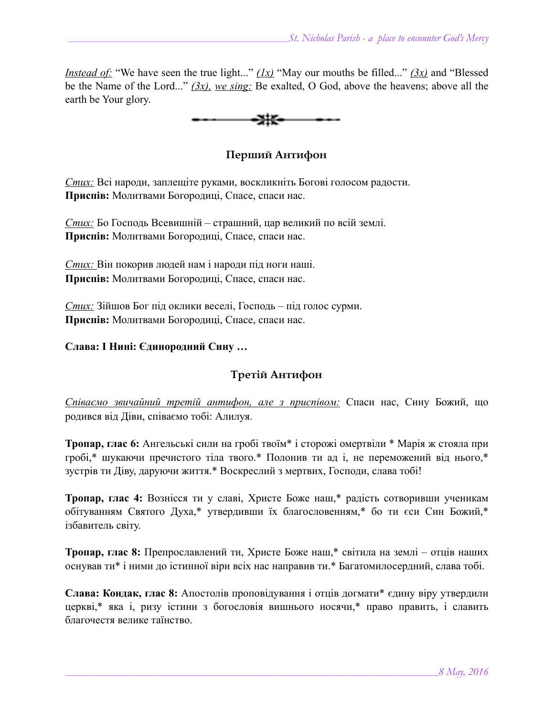*Instead of:* "We have seen the true light..." *(1x)* "May our mouths be filled..." *(3x)* and "Blessed be the Name of the Lord..." *(3x), we sing:* Be exalted, O God, above the heavens; above all the earth be Your glory.



# **Перший Антифон**

*Стих:* Всі народи, заплещіте руками, воскликніть Богові голосом радости. **Приспів:** Молитвами Богородиці, Спасе, спаси нас.

*Стих:* Бо Господь Всевишній – страшний, цар великий по всій землі. **Приспів:** Молитвами Богородиці, Спасе, спаси нас.

*Стих:* Він покорив людей нам і народи під ноги наші. **Приспів:** Молитвами Богородиці, Спасе, спаси нас.

*Стих:* Зійшов Бог під оклики веселі, Господь – під голос сурми. **Приспів:** Молитвами Богородиці, Спасе, спаси нас.

### **Слава: І Нині: Єдинородний Сину …**

# **Третій Антифон**

*Співаємо звичайний третій антифон, але з приспівoм:* Спаси нас, Сину Божий, що родився від Діви, співаємо тобі: Алилуя.

**Тропар, глас 6:** Ангельські сили на гробі твоїм\* і сторожі омертвіли \* Марія ж стояла при гробі,\* шукаючи пречистого тіла твого.\* Полонив ти ад і, не переможений від нього,\* зустрів ти Діву, даруючи життя.\* Воскреслий з мертвих, Господи, слава тобі!

**Тропар, глас 4:** Вознісся ти у славі, Христе Боже наш,\* радість сотворивши ученикам обітуванням Святого Духа,\* утвердивши їх благословенням,\* бо ти єси Син Божий,\* ізбавитель світу.

**Тропар, глас 8:** Препрославлений ти, Христе Боже наш,\* світила на землі – отців наших оснував ти\* і ними до істинної віри всіх нас направив ти.\* Багатомилосердний, слава тобі.

**Слава: Кондак, глас 8:** Апостолів проповідування і отців догмати\* єдину віру утвердили церкві,\* яка і, ризу істини з богословія вишнього носячи,\* право править, і славить благочестя велике таїнство.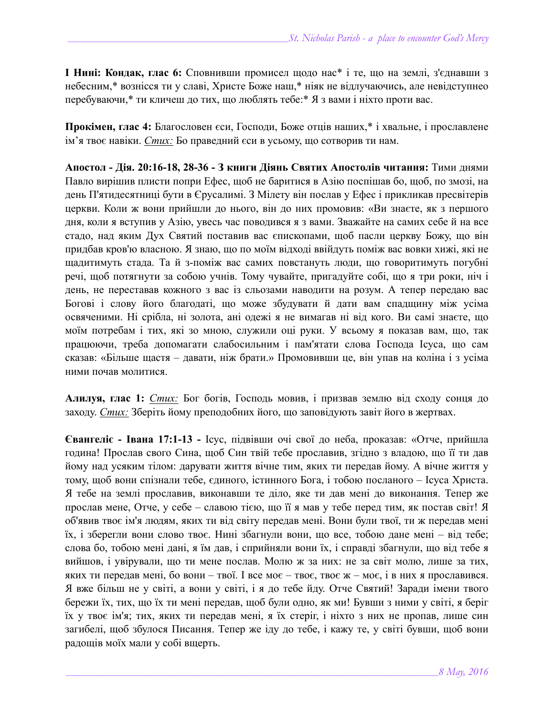**І Нині: Кондак, глас 6:** Сповнивши промисел щодо нас\* і те, що на землі, з'єднавши з небесним,\* вознісся ти у славі, Христе Боже наш,\* ніяк не відлучаючись, але невідступнео перебуваючи,\* ти кличеш до тих, що люблять тебе:\* Я з вами і ніхто проти вас.

**Прокімен, глас 4:** Благословен єси, Господи, Боже отців наших,\* і хвальне, і прославлене ім'я твоє навіки. *Стих:* Бо праведний єси в усьому, що сотворив ти нам.

**Апостол - Дія. 20:16-18, 28-36 - З книги Діянь Святих Апостолів читання:** Тими днями Павло вирішив плисти попри Ефес, щоб не баритися в Азію поспішав бо, щоб, по змозі, на день П'ятидесятниці бути в Єрусалимі. З Мілету він послав у Ефес і прикликав пресвітерів церкви. Коли ж вони прийшли до нього, він до них промовив: «Ви знаєте, як з першого дня, коли я вступив у Азію, увесь час поводився я з вами. Зважайте на самих себе й на все стадо, над яким Дух Святий поставив вас єпископами, щоб пасли церкву Божу, що він придбав кров'ю власною. Я знаю, що по моїм відході ввійдуть поміж вас вовки хижі, які не щадитимуть стада. Та й з-поміж вас самих повстануть люди, що говоритимуть погубні речі, щоб потягнути за собою учнів. Тому чувайте, пригадуйте собі, що я три роки, ніч і день, не переставав кожного з вас із сльозами наводити на розум. А тепер передаю вас Богові і слову його благодаті, що може збудувати й дати вам спадщину між усіма освяченими. Ні срібла, ні золота, ані одежі я не вимагав ні від кого. Ви самі знаєте, що моїм потребам і тих, які зо мною, служили оці руки. У всьому я показав вам, що, так працюючи, треба допомагати слабосильним і пам'ятати слова Господа Ісуса, що сам сказав: «Більше щастя – давати, ніж брати.» Промовивши це, він упав на коліна і з усіма ними почав молитися.

**Алилуя, глас 1:** *Стих:* Бог богів, Господь мовив, і призвав землю від сходу сонця до заходу. *Стих:* Зберіть йому преподобних його, що заповідують завіт його в жертвах.

**Євангеліє - Івана 17:1-13 -** Ісус, підвівши очі свої до неба, проказав: «Отче, прийшла година! Прослав свого Сина, щоб Син твій тебе прославив, згідно з владою, що її ти дав йому над усяким тілом: дарувати життя вічне тим, яких ти передав йому. А вічне життя у тому, щоб вони спізнали тебе, єдиного, істинного Бога, і тобою посланого – Ісуса Христа. Я тебе на землі прославив, виконавши те діло, яке ти дав мені до виконання. Тепер же прослав мене, Отче, у себе – славою тією, що її я мав у тебе перед тим, як постав світ! Я об'явив твоє ім'я людям, яких ти від світу передав мені. Вони були твої, ти ж передав мені їх, і зберегли вони слово твоє. Нині збагнули вони, що все, тобою дане мені – від тебе; слова бо, тобою мені дані, я їм дав, і сприйняли вони їх, і справді збагнули, що від тебе я вийшов, і увірували, що ти мене послав. Молю ж за них: не за світ молю, лише за тих, яких ти передав мені, бо вони – твої. І все моє – твоє, твоє ж – моє, і в них я прославився. Я вже більш не у світі, а вони у світі, і я до тебе йду. Отче Святий! Заради імени твого бережи їх, тих, що їх ти мені передав, щоб були одно, як ми! Бувши з ними у світі, я беріг їх у твоє ім'я; тих, яких ти передав мені, я їх стеріг, і ніхто з них не пропав, лише син загибелі, щоб збулося Писання. Тепер же іду до тебе, і кажу те, у світі бувши, щоб вони радощів моїх мали у собі вщерть.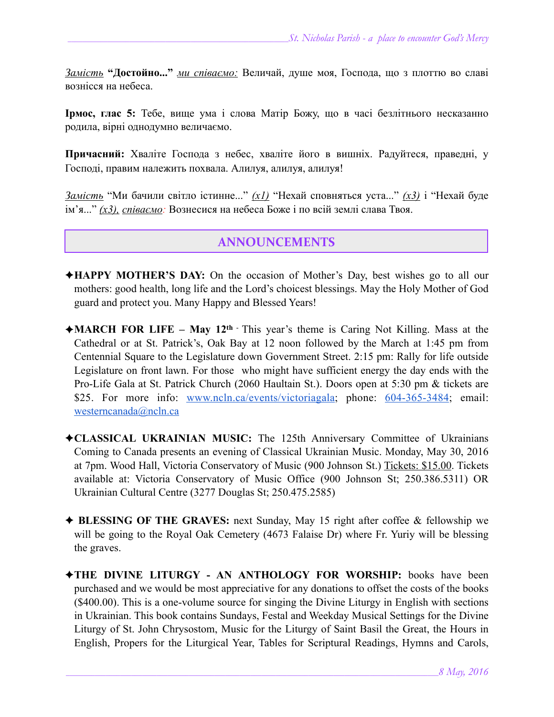*Замість* **"Достойно..."** *ми співаємо:* Величай, душе моя, Господа, що з плоттю во славі вознісся на небеса.

**Ірмос, глас 5:** Тебе, вище ума і слова Матір Божу, що в часі безлітнього несказанно родила, вірні однодумно величаємо.

**Причасний:** Хваліте Господа з небес, хваліте його в вишніх. Радуйтеся, праведні, у Господі, правим належить похвала. Алилуя, aлилуя, aлилуя!

*Замість* "Ми бачили світло істинне..." *(x1)* "Нехай сповняться уста..." *(x3)* і "Нехай буде ім'я..." *(x3), співаємо:* Вознесися на небеса Боже і по всій землі слава Твоя.

# **ANNOUNCEMENTS**

- ✦**HAPPY MOTHER'S DAY:** On the occasion of Mother's Day, best wishes go to all our mothers: good health, long life and the Lord's choicest blessings. May the Holy Mother of God guard and protect you. Many Happy and Blessed Years!
- ✦**MARCH FOR LIFE May 12th** This year's theme is Caring Not Killing. Mass at the Cathedral or at St. Patrick's, Oak Bay at 12 noon followed by the March at 1:45 pm from Centennial Square to the Legislature down Government Street. 2:15 pm: Rally for life outside Legislature on front lawn. For those who might have sufficient energy the day ends with the Pro-Life Gala at St. Patrick Church (2060 Haultain St.). Doors open at 5:30 pm & tickets are \$25. For more info: [www.ncln.ca/events/victoriagala](http://www.ncln.ca/events/victoriagala); phone: 604-365-3484; email: [westerncanada@ncln.ca](mailto:westerncanada@ncln.ca)
- ✦**CLASSICAL UKRAINIAN MUSIC:** The 125th Anniversary Committee of Ukrainians Coming to Canada presents an evening of Classical Ukrainian Music. Monday, May 30, 2016 at 7pm. Wood Hall, Victoria Conservatory of Music (900 Johnson St.) Tickets: \$15.00. Tickets available at: Victoria Conservatory of Music Office (900 Johnson St; 250.386.5311) OR Ukrainian Cultural Centre (3277 Douglas St; 250.475.2585)
- ✦ **BLESSING OF THE GRAVES:** next Sunday, May 15 right after coffee & fellowship we will be going to the Royal Oak Cemetery (4673 Falaise Dr) where Fr. Yuriy will be blessing the graves.
- ✦**THE DIVINE LITURGY AN ANTHOLOGY FOR WORSHIP:** books have been purchased and we would be most appreciative for any donations to offset the costs of the books (\$400.00). This is a one-volume source for singing the Divine Liturgy in English with sections in Ukrainian. This book contains Sundays, Festal and Weekday Musical Settings for the Divine Liturgy of St. John Chrysostom, Music for the Liturgy of Saint Basil the Great, the Hours in English, Propers for the Liturgical Year, Tables for Scriptural Readings, Hymns and Carols,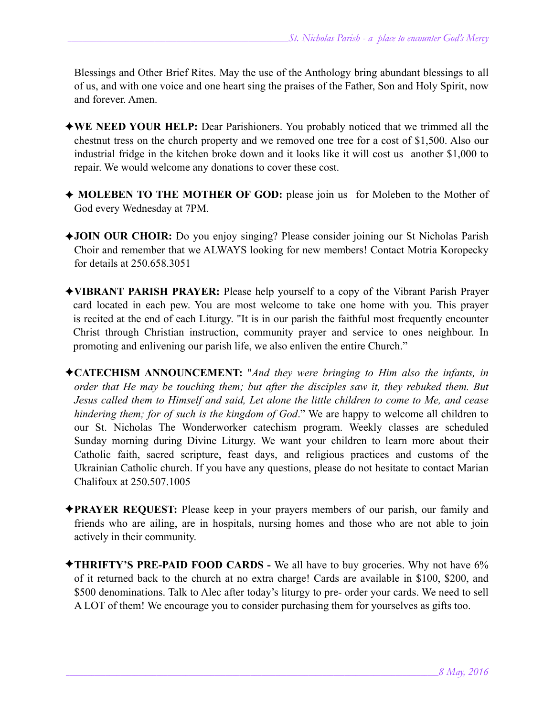Blessings and Other Brief Rites. May the use of the Anthology bring abundant blessings to all of us, and with one voice and one heart sing the praises of the Father, Son and Holy Spirit, now and forever. Amen.

- ✦**WE NEED YOUR HELP:** Dear Parishioners. You probably noticed that we trimmed all the chestnut tress on the church property and we removed one tree for a cost of \$1,500. Also our industrial fridge in the kitchen broke down and it looks like it will cost us another \$1,000 to repair. We would welcome any donations to cover these cost.
- ✦ **MOLEBEN TO THE MOTHER OF GOD:** please join us for Moleben to the Mother of God every Wednesday at 7PM.
- ✦**JOIN OUR CHOIR:** Do you enjoy singing? Please consider joining our St Nicholas Parish Choir and remember that we ALWAYS looking for new members! Contact Motria Koropecky for details at 250.658.3051
- ✦**VIBRANT PARISH PRAYER:** Please help yourself to a copy of the Vibrant Parish Prayer card located in each pew. You are most welcome to take one home with you. This prayer is recited at the end of each Liturgy. "It is in our parish the faithful most frequently encounter Christ through Christian instruction, community prayer and service to ones neighbour. In promoting and enlivening our parish life, we also enliven the entire Church."
- ✦**CATECHISM ANNOUNCEMENT:** "*And they were bringing to Him also the infants, in order that He may be touching them; but after the disciples saw it, they rebuked them. But Jesus called them to Himself and said, Let alone the little children to come to Me, and cease hindering them; for of such is the kingdom of God*." We are happy to welcome all children to our St. Nicholas The Wonderworker catechism program. Weekly classes are scheduled Sunday morning during Divine Liturgy. We want your children to learn more about their Catholic faith, sacred scripture, feast days, and religious practices and customs of the Ukrainian Catholic church. If you have any questions, please do not hesitate to contact Marian Chalifoux at 250.507.1005
- ✦**PRAYER REQUEST:** Please keep in your prayers members of our parish, our family and friends who are ailing, are in hospitals, nursing homes and those who are not able to join actively in their community.
- ✦**THRIFTY'S PRE-PAID FOOD CARDS** We all have to buy groceries. Why not have 6% of it returned back to the church at no extra charge! Cards are available in \$100, \$200, and \$500 denominations. Talk to Alec after today's liturgy to pre- order your cards. We need to sell A LOT of them! We encourage you to consider purchasing them for yourselves as gifts too.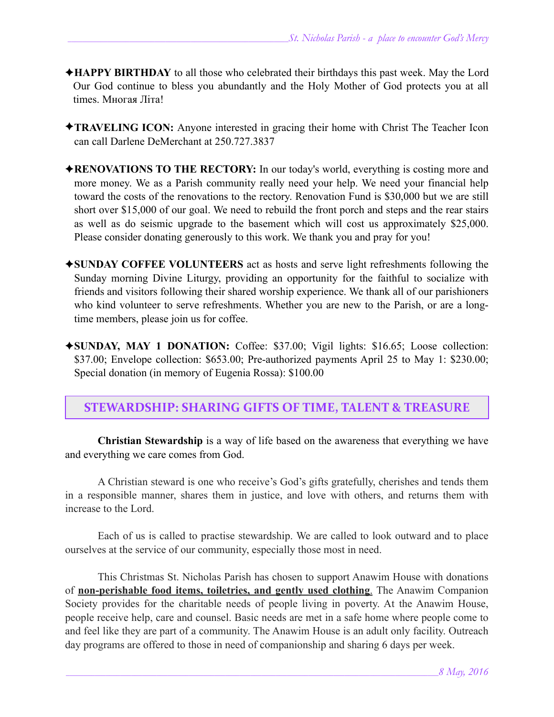- ✦**HAPPY BIRTHDAY** to all those who celebrated their birthdays this past week. May the Lord Our God continue to bless you abundantly and the Holy Mother of God protects you at all times. Многая Літа!
- ✦**TRAVELING ICON:** Anyone interested in gracing their home with Christ The Teacher Icon can call Darlene DeMerchant at 250.727.3837
- ✦**RENOVATIONS TO THE RECTORY:** In our today's world, everything is costing more and more money. We as a Parish community really need your help. We need your financial help toward the costs of the renovations to the rectory. Renovation Fund is \$30,000 but we are still short over \$15,000 of our goal. We need to rebuild the front porch and steps and the rear stairs as well as do seismic upgrade to the basement which will cost us approximately \$25,000. Please consider donating generously to this work. We thank you and pray for you!
- ✦**SUNDAY COFFEE VOLUNTEERS** act as hosts and serve light refreshments following the Sunday morning Divine Liturgy, providing an opportunity for the faithful to socialize with friends and visitors following their shared worship experience. We thank all of our parishioners who kind volunteer to serve refreshments. Whether you are new to the Parish, or are a longtime members, please join us for coffee.
- ✦**SUNDAY, MAY 1 DONATION:** Coffee: \$37.00; Vigil lights: \$16.65; Loose collection: \$37.00; Envelope collection: \$653.00; Pre-authorized payments April 25 to May 1: \$230.00; Special donation (in memory of Eugenia Rossa): \$100.00

# **STEWARDSHIP: SHARING GIFTS OF TIME, TALENT & TREASURE**

**Christian Stewardship** is a way of life based on the awareness that everything we have and everything we care comes from God.

 A Christian steward is one who receive's God's gifts gratefully, cherishes and tends them in a responsible manner, shares them in justice, and love with others, and returns them with increase to the Lord.

 Each of us is called to practise stewardship. We are called to look outward and to place ourselves at the service of our community, especially those most in need.

 This Christmas St. Nicholas Parish has chosen to support Anawim House with donations of **non-perishable food items, toiletries, and gently used clothing**. The Anawim Companion Society provides for the charitable needs of people living in poverty. At the Anawim House, people receive help, care and counsel. Basic needs are met in a safe home where people come to and feel like they are part of a community. The Anawim House is an adult only facility. Outreach day programs are offered to those in need of companionship and sharing 6 days per week.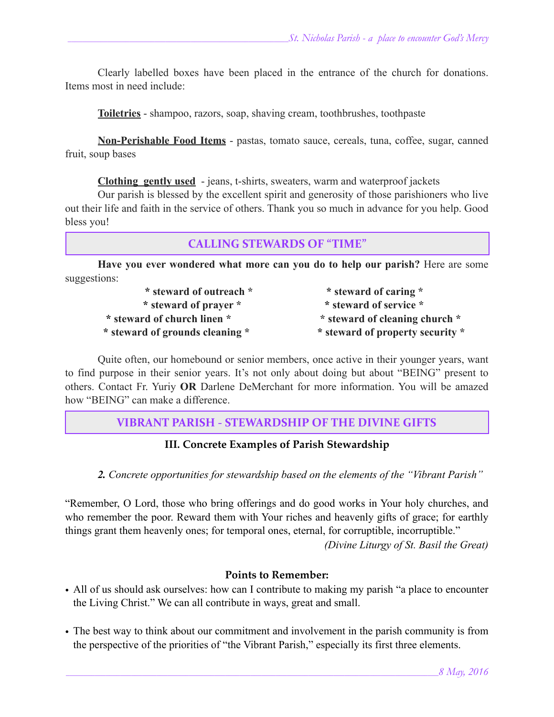Clearly labelled boxes have been placed in the entrance of the church for donations. Items most in need include:

**Toiletries** - shampoo, razors, soap, shaving cream, toothbrushes, toothpaste

**Non-Perishable Food Items** - pastas, tomato sauce, cereals, tuna, coffee, sugar, canned fruit, soup bases

**Clothing gently used** - jeans, t-shirts, sweaters, warm and waterproof jackets

 Our parish is blessed by the excellent spirit and generosity of those parishioners who live out their life and faith in the service of others. Thank you so much in advance for you help. Good bless you!

#### **CALLING STEWARDS OF "TIME"**

**Have you ever wondered what more can you do to help our parish?** Here are some suggestions:

| * steward of outreach *         | * steward of caring *            |  |  |
|---------------------------------|----------------------------------|--|--|
| * steward of prayer *           | * steward of service *           |  |  |
| * steward of church linen *     | * steward of cleaning church *   |  |  |
| * steward of grounds cleaning * | * steward of property security * |  |  |

Quite often, our homebound or senior members, once active in their younger years, want to find purpose in their senior years. It's not only about doing but about "BEING" present to others. Contact Fr. Yuriy **OR** Darlene DeMerchant for more information. You will be amazed how "BEING" can make a difference.

# **VIBRANT PARISH - STEWARDSHIP OF THE DIVINE GIFTS**

#### **III. Concrete Examples of Parish Stewardship**

*2. Concrete opportunities for stewardship based on the elements of the "Vibrant Parish"* 

"Remember, O Lord, those who bring offerings and do good works in Your holy churches, and who remember the poor. Reward them with Your riches and heavenly gifts of grace; for earthly things grant them heavenly ones; for temporal ones, eternal, for corruptible, incorruptible."

*(Divine Liturgy of St. Basil the Great)* 

#### **Points to Remember:**

- All of us should ask ourselves: how can I contribute to making my parish "a place to encounter the Living Christ." We can all contribute in ways, great and small.
- The best way to think about our commitment and involvement in the parish community is from the perspective of the priorities of "the Vibrant Parish," especially its first three elements.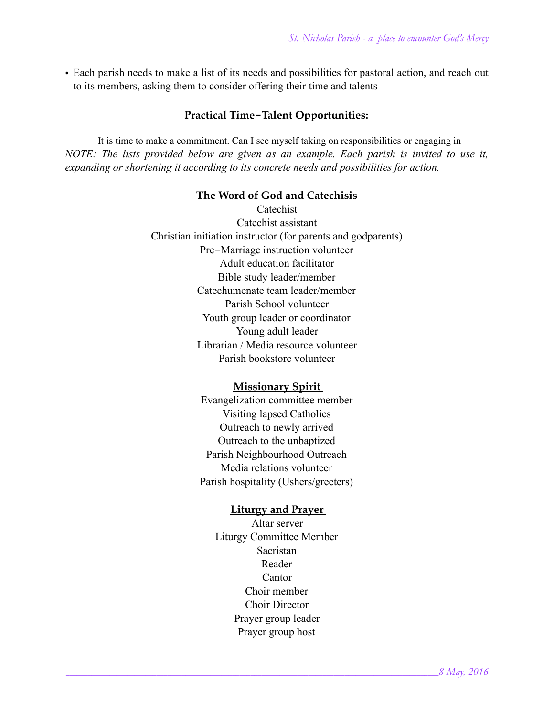• Each parish needs to make a list of its needs and possibilities for pastoral action, and reach out to its members, asking them to consider offering their time and talents

#### **Practical Time-Talent Opportunities:**

It is time to make a commitment. Can I see myself taking on responsibilities or engaging in *NOTE: The lists provided below are given as an example. Each parish is invited to use it, expanding or shortening it according to its concrete needs and possibilities for action.* 

#### **The Word of God and Catechisis**

Catechist Catechist assistant Christian initiation instructor (for parents and godparents) Pre-Marriage instruction volunteer Adult education facilitator Bible study leader/member Catechumenate team leader/member Parish School volunteer Youth group leader or coordinator Young adult leader Librarian / Media resource volunteer Parish bookstore volunteer

#### **Missionary Spirit**

Evangelization committee member Visiting lapsed Catholics Outreach to newly arrived Outreach to the unbaptized Parish Neighbourhood Outreach Media relations volunteer Parish hospitality (Ushers/greeters)

#### **Liturgy and Prayer**

Altar server Liturgy Committee Member Sacristan Reader Cantor Choir member Choir Director Prayer group leader Prayer group host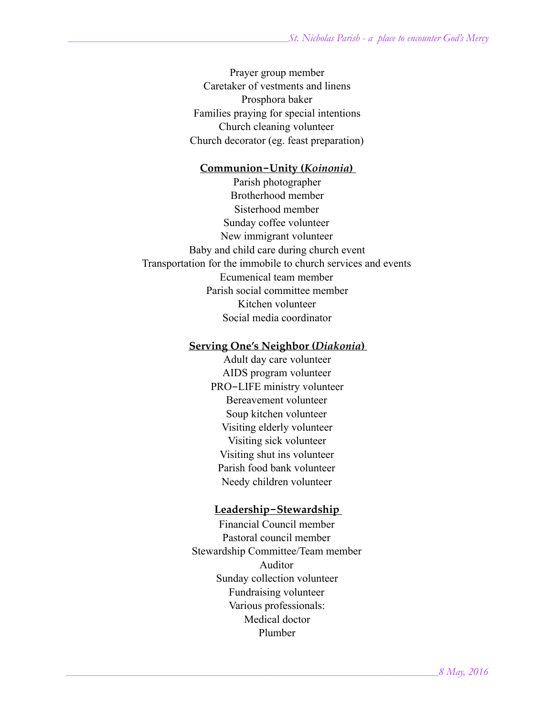Prayer group member Caretaker of vestments and linens Prosphora baker Families praying for special intentions Church cleaning volunteer Church decorator (eg. feast preparation)

#### **Communion-Unity (***Koinonia***)**

Parish photographer Brotherhood member Sisterhood member Sunday coffee volunteer New immigrant volunteer Baby and child care during church event Transportation for the immobile to church services and events Ecumenical team member Parish social committee member Kitchen volunteer Social media coordinator

#### **Serving One's Neighbor (***Diakonia***)**

Adult day care volunteer AIDS program volunteer PRO-LIFE ministry volunteer Bereavement volunteer Soup kitchen volunteer Visiting elderly volunteer Visiting sick volunteer Visiting shut ins volunteer Parish food bank volunteer Needy children volunteer

#### **Leadership-Stewardship**

Financial Council member Pastoral council member Stewardship Committee/Team member Auditor Sunday collection volunteer Fundraising volunteer Various professionals: Medical doctor Plumber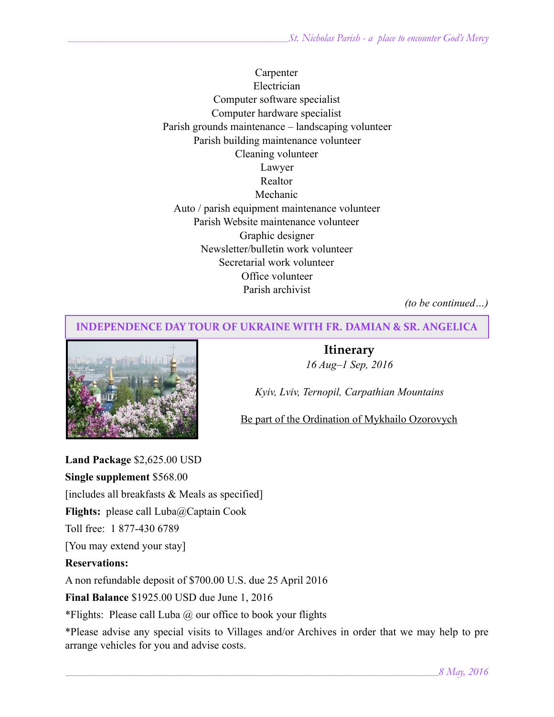Carpenter Electrician Computer software specialist Computer hardware specialist Parish grounds maintenance – landscaping volunteer Parish building maintenance volunteer Cleaning volunteer Lawyer Realtor Mechanic Auto / parish equipment maintenance volunteer Parish Website maintenance volunteer Graphic designer Newsletter/bulletin work volunteer Secretarial work volunteer Office volunteer Parish archivist

*(to be continued…)*

#### **INDEPENDENCE DAY TOUR OF UKRAINE WITH FR. DAMIAN & SR. ANGELICA**



**Itinerary** *16 Aug–1 Sep, 2016*

*Kyiv, Lviv, Ternopil, Carpathian Mountains*

Be part of the Ordination of Mykhailo Ozorovych

**Land Package** \$2,625.00 USD **Single supplement** \$568.00 [includes all breakfasts & Meals as specified] **Flights:** please call Luba@Captain Cook Toll free: 1 877-430 6789 [You may extend your stay] **Reservations:**

A non refundable deposit of \$700.00 U.S. due 25 April 2016 **Final Balance** \$1925.00 USD due June 1, 2016

\*Flights: Please call Luba  $\omega$  our office to book your flights

\*Please advise any special visits to Villages and/or Archives in order that we may help to pre arrange vehicles for you and advise costs.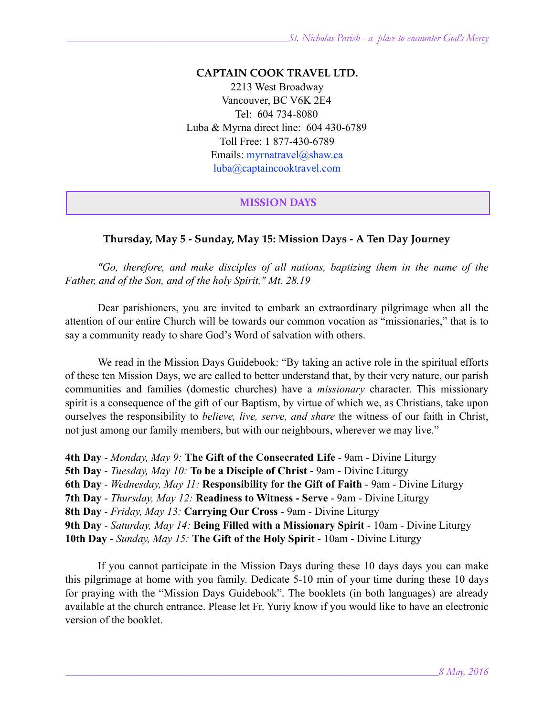#### **CAPTAIN COOK TRAVEL LTD.**

2213 West Broadway Vancouver, BC V6K 2E4 Tel: 604 734-8080 Luba & Myrna direct line: 604 430-6789 Toll Free: 1 877-430-6789 Emails: [myrnatravel@shaw.ca](mailto:myrnatravel@shaw.ca) [luba@captaincooktravel.com](mailto:luba@captaincooktravel.com)

#### **MISSION DAYS**

#### **Thursday, May 5 - Sunday, May 15: Mission Days - A Ten Day Journey**

 *"Go, therefore, and make disciples of all nations, baptizing them in the name of the Father, and of the Son, and of the holy Spirit," Mt. 28.19* 

 Dear parishioners, you are invited to embark an extraordinary pilgrimage when all the attention of our entire Church will be towards our common vocation as "missionaries," that is to say a community ready to share God's Word of salvation with others.

 We read in the Mission Days Guidebook: "By taking an active role in the spiritual efforts of these ten Mission Days, we are called to better understand that, by their very nature, our parish communities and families (domestic churches) have a *missionary* character. This missionary spirit is a consequence of the gift of our Baptism, by virtue of which we, as Christians, take upon ourselves the responsibility to *believe, live, serve, and share* the witness of our faith in Christ, not just among our family members, but with our neighbours, wherever we may live."

- **4th Day**  *Monday, May 9:* **The Gift of the Consecrated Life**  9am Divine Liturgy
- **5th Day** *Tuesday, May 10:* **To be a Disciple of Christ** 9am Divine Liturgy
- **6th Day** *Wednesday, May 11:* **Responsibility for the Gift of Faith** 9am Divine Liturgy
- **7th Day** *Thursday, May 12:* **Readiness to Witness Serve** 9am Divine Liturgy
- **8th Day** *Friday, May 13:* **Carrying Our Cross** 9am Divine Liturgy
- **9th Day** *Saturday, May 14:* **Being Filled with a Missionary Spirit** 10am Divine Liturgy **10th Day** - *Sunday, May 15:* **The Gift of the Holy Spirit** - 10am - Divine Liturgy

 If you cannot participate in the Mission Days during these 10 days days you can make this pilgrimage at home with you family. Dedicate 5-10 min of your time during these 10 days for praying with the "Mission Days Guidebook". The booklets (in both languages) are already available at the church entrance. Please let Fr. Yuriy know if you would like to have an electronic version of the booklet.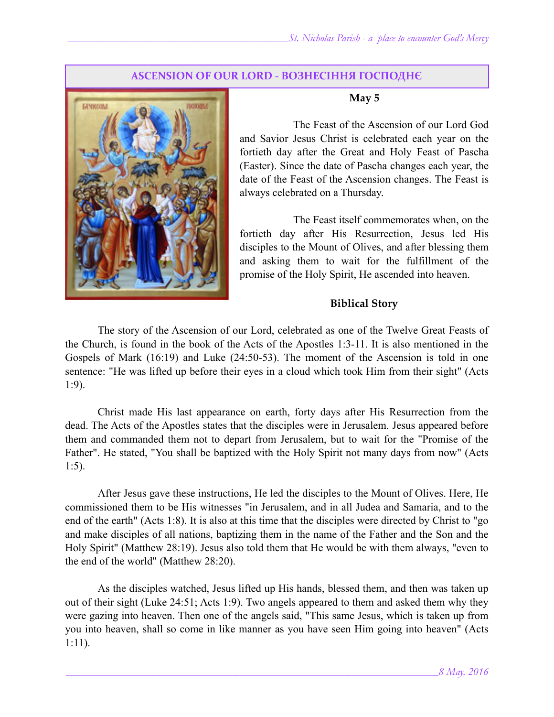### **ASCENSION OF OUR LORD - ВОЗНЕСІННЯ ГОСПОДНЄ**



#### **May 5**

 The Feast of the Ascension of our Lord God and Savior Jesus Christ is celebrated each year on the fortieth day after the Great and Holy Feast of Pascha (Easter). Since the date of Pascha changes each year, the date of the Feast of the Ascension changes. The Feast is always celebrated on a Thursday.

 The Feast itself commemorates when, on the fortieth day after His Resurrection, Jesus led His disciples to the Mount of Olives, and after blessing them and asking them to wait for the fulfillment of the promise of the Holy Spirit, He ascended into heaven.

#### **Biblical Story**

 The story of the Ascension of our Lord, celebrated as one of the Twelve Great Feasts of the Church, is found in the book of the Acts of the Apostles 1:3-11. It is also mentioned in the Gospels of Mark (16:19) and Luke (24:50-53). The moment of the Ascension is told in one sentence: "He was lifted up before their eyes in a cloud which took Him from their sight" (Acts 1:9).

 Christ made His last appearance on earth, forty days after His Resurrection from the dead. The Acts of the Apostles states that the disciples were in Jerusalem. Jesus appeared before them and commanded them not to depart from Jerusalem, but to wait for the "Promise of the Father". He stated, "You shall be baptized with the Holy Spirit not many days from now" (Acts 1:5).

After Jesus gave these instructions, He led the disciples to the Mount of Olives. Here, He commissioned them to be His witnesses "in Jerusalem, and in all Judea and Samaria, and to the end of the earth" (Acts 1:8). It is also at this time that the disciples were directed by Christ to "go and make disciples of all nations, baptizing them in the name of the Father and the Son and the Holy Spirit" (Matthew 28:19). Jesus also told them that He would be with them always, "even to the end of the world" (Matthew 28:20).

 As the disciples watched, Jesus lifted up His hands, blessed them, and then was taken up out of their sight (Luke 24:51; Acts 1:9). Two angels appeared to them and asked them why they were gazing into heaven. Then one of the angels said, "This same Jesus, which is taken up from you into heaven, shall so come in like manner as you have seen Him going into heaven" (Acts 1:11).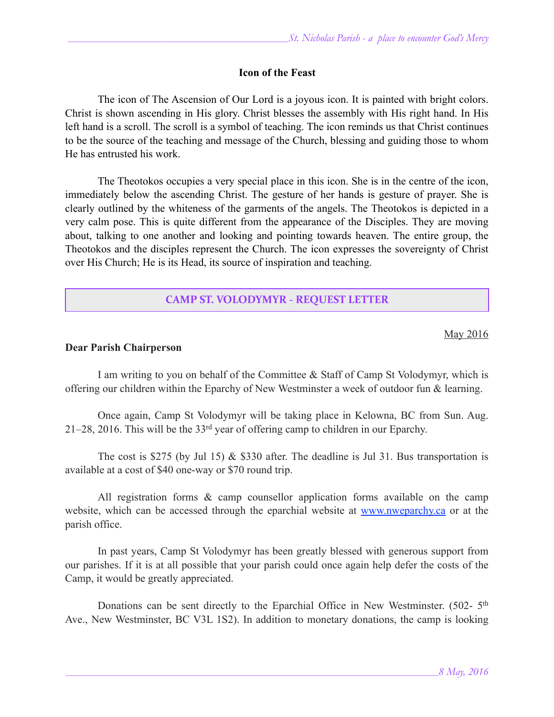#### **Icon of the Feast**

 The icon of The Ascension of Our Lord is a joyous icon. It is painted with bright colors. Christ is shown ascending in His glory. Christ blesses the assembly with His right hand. In His left hand is a scroll. The scroll is a symbol of teaching. The icon reminds us that Christ continues to be the source of the teaching and message of the Church, blessing and guiding those to whom He has entrusted his work.

 The Theotokos occupies a very special place in this icon. She is in the centre of the icon, immediately below the ascending Christ. The gesture of her hands is gesture of prayer. She is clearly outlined by the whiteness of the garments of the angels. The Theotokos is depicted in a very calm pose. This is quite different from the appearance of the Disciples. They are moving about, talking to one another and looking and pointing towards heaven. The entire group, the Theotokos and the disciples represent the Church. The icon expresses the sovereignty of Christ over His Church; He is its Head, its source of inspiration and teaching.

#### **CAMP ST. VOLODYMYR - REQUEST LETTER**

May 2016

#### **Dear Parish Chairperson**

 I am writing to you on behalf of the Committee & Staff of Camp St Volodymyr, which is offering our children within the Eparchy of New Westminster a week of outdoor fun & learning.

 Once again, Camp St Volodymyr will be taking place in Kelowna, BC from Sun. Aug. 21–28, 2016. This will be the 33rd year of offering camp to children in our Eparchy.

The cost is \$275 (by Jul 15)  $&$  \$330 after. The deadline is Jul 31. Bus transportation is available at a cost of \$40 one-way or \$70 round trip.

All registration forms  $\&$  camp counsellor application forms available on the camp website, which can be accessed through the eparchial website at [www.nweparchy.ca](http://www.nweparchy.ca/) or at the parish office.

 In past years, Camp St Volodymyr has been greatly blessed with generous support from our parishes. If it is at all possible that your parish could once again help defer the costs of the Camp, it would be greatly appreciated.

Donations can be sent directly to the Eparchial Office in New Westminster. (502- 5<sup>th</sup>) Ave., New Westminster, BC V3L 1S2). In addition to monetary donations, the camp is looking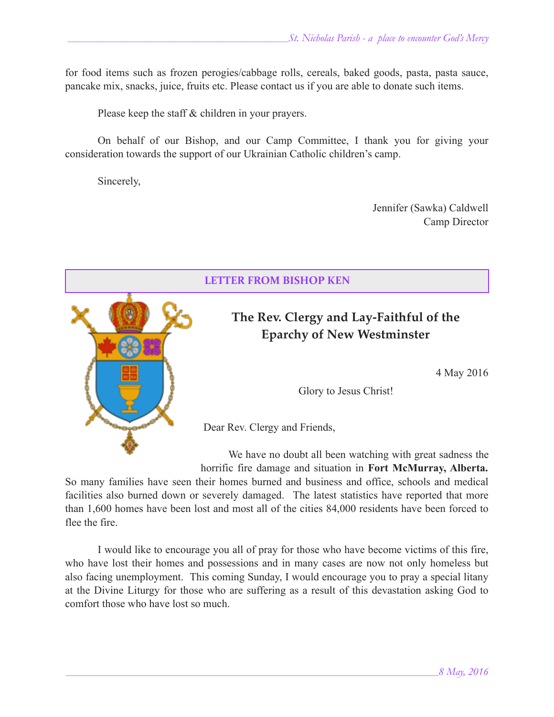for food items such as frozen perogies/cabbage rolls, cereals, baked goods, pasta, pasta sauce, pancake mix, snacks, juice, fruits etc. Please contact us if you are able to donate such items.

Please keep the staff & children in your prayers.

 On behalf of our Bishop, and our Camp Committee, I thank you for giving your consideration towards the support of our Ukrainian Catholic children's camp.

Sincerely,

Jennifer (Sawka) Caldwell Camp Director



So many families have seen their homes burned and business and office, schools and medical facilities also burned down or severely damaged. The latest statistics have reported that more than 1,600 homes have been lost and most all of the cities 84,000 residents have been forced to flee the fire.

I would like to encourage you all of pray for those who have become victims of this fire, who have lost their homes and possessions and in many cases are now not only homeless but also facing unemployment. This coming Sunday, I would encourage you to pray a special litany at the Divine Liturgy for those who are suffering as a result of this devastation asking God to comfort those who have lost so much.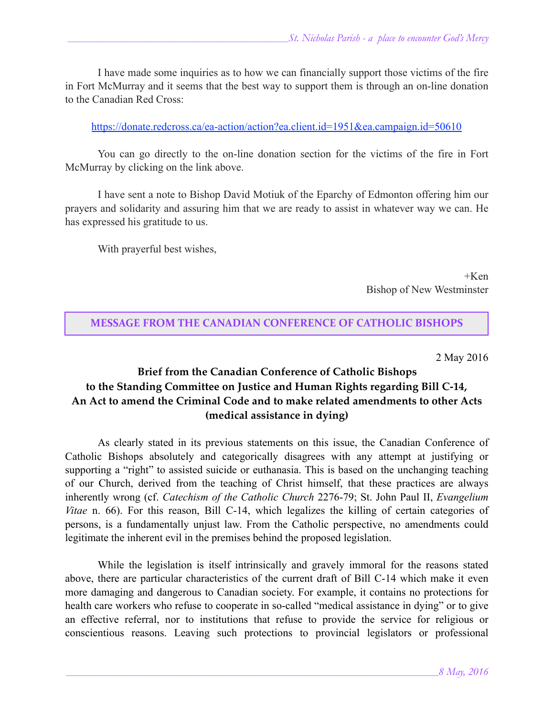I have made some inquiries as to how we can financially support those victims of the fire in Fort McMurray and it seems that the best way to support them is through an on-line donation to the Canadian Red Cross:

<https://donate.redcross.ca/ea-action/action?ea.client.id=1951&ea.campaign.id=50610>

 You can go directly to the on-line donation section for the victims of the fire in Fort McMurray by clicking on the link above.

 I have sent a note to Bishop David Motiuk of the Eparchy of Edmonton offering him our prayers and solidarity and assuring him that we are ready to assist in whatever way we can. He has expressed his gratitude to us.

With prayerful best wishes,

 $+$ Ken Bishop of New Westminster

**MESSAGE FROM THE CANADIAN CONFERENCE OF CATHOLIC BISHOPS** 

2 May 2016

# **Brief from the Canadian Conference of Catholic Bishops to the Standing Committee on Justice and Human Rights regarding Bill C-14, An Act to amend the Criminal Code and to make related amendments to other Acts (medical assistance in dying)**

 As clearly stated in its previous statements on this issue, the Canadian Conference of Catholic Bishops absolutely and categorically disagrees with any attempt at justifying or supporting a "right" to assisted suicide or euthanasia. This is based on the unchanging teaching of our Church, derived from the teaching of Christ himself, that these practices are always inherently wrong (cf. *Catechism of the Catholic Church* 2276-79; St. John Paul II, *Evangelium Vitae* n. 66). For this reason, Bill C-14, which legalizes the killing of certain categories of persons, is a fundamentally unjust law. From the Catholic perspective, no amendments could legitimate the inherent evil in the premises behind the proposed legislation.

While the legislation is itself intrinsically and gravely immoral for the reasons stated above, there are particular characteristics of the current draft of Bill C-14 which make it even more damaging and dangerous to Canadian society. For example, it contains no protections for health care workers who refuse to cooperate in so-called "medical assistance in dying" or to give an effective referral, nor to institutions that refuse to provide the service for religious or conscientious reasons. Leaving such protections to provincial legislators or professional